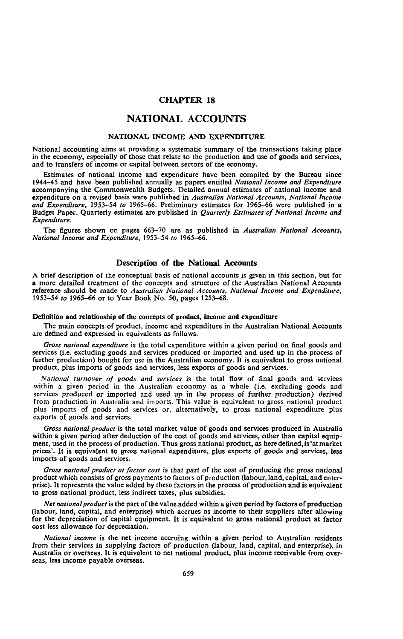#### **CHAPTER 18**

## **NATIONAL ACCOUNTS**

#### **NATIONAL INCOME AND EXPENDITURE**

National accounting aims at providing a systematic summary of the transactions taking place in the economy, especially of those that relate to the production and use of goods and services, and to transfers of income or capital between sectors of the economy.

Estimates of national income and expenditure have been compiled by the Bureau since 1944-45 and have been published annually as papers entitled *National Income and Expenditure* accompanying the Commonwealth Budgets. Detailed annual estimates of national income and expenditure on a revised basis were published in *Australian National Accounts, National Income and Expenditure,* 1953-54 *to* 1965-66. Preliminary estimates for 1965-66 were published in a Budget Paper. Quarterly estimates are published in *Quarterly Estimates of National Income and Expenditure.*

The figures shown on pages 663-70 are as published in *Australian National Accounts, National Income and Expenditure,* 1953-54 *to* 1965-66.

#### **Description of the National Accounts**

A brief description of the conceptual basis of national accounts is given in this section, but for a more detailed treatment of the concepts and structure of the Australian National Accounts reference should be made to *Australian National Accounts, National Income and Expenditure,* 1953-54 *to* 1965-66 or to Year Book No. 50, pages 1253-68.

#### **Definition and relationship of the concepts of product, income and expenditure**

The main concepts of product, income and expenditure in the Australian National Accounts are defined and expressed in equivalents as follows.

*Gross national expenditure* is the total expenditure within a given period on final goods and services (i.e. excluding goods and services produced or imported and used up in the process of further production) bought for use in the Australian economy. It is equivalent to gross national product, plus imports of goods and services, less exports of goods and services.

*National turnover of goods and services* is the total flow of final goods and services within a given period in the Australian economy as a whole (i.e. excluding goods and services produced or imported and used up in the process of further production) derived from production in Australia and imports. This value is equivalent to gross national product plus imports of goods and services or, alternatively, to gross national expenditure plus exports of goods and services.

*Gross national product* is the total market value of goods and services produced in Australia within a given period after deduction of the cost of goods and services, other than capital equipment, used in the process of production. Thus gross national product, as here defined, is'at market prices'. It is equivalent to gross national expenditure, plus exports of goods and services, less imports of goods and services.

*Gross national product at factor cost* is that part of the cost of producing the gross national product which consists of gross payments to factors of production (labour, land, capital, and enterprise). It represents the value added by these factors in the process of production and is equivalent to gross national product, less indirect taxes, plus subsidies.

*Net national product* is the part of the value added within a given period by factors of production (labour, land, capital, and enterprise) which accrues as income to their suppliers after allowing for the depreciation of capital equipment. It is equivalent to gross national product at factor cost less allowance for depreciation.

*National income* is the net income accruing within a given period to Australian residents from their services in supplying factors of production (labour, land, capital, and enterprise), in Australia or overseas. It is equivalent to net national product, plus income receivable from overseas, less income payable overseas.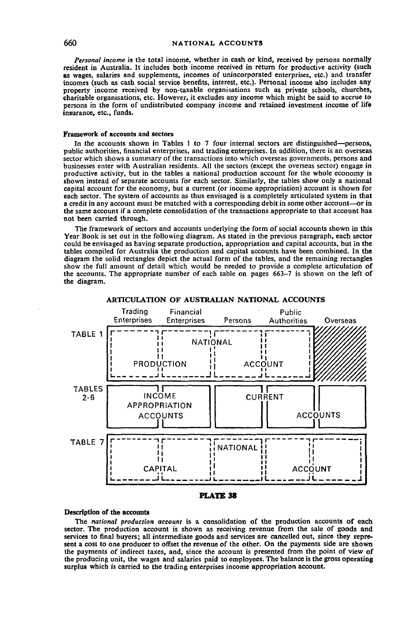*Personal income* is the total income, whether in cash or kind, received by persons normally resident in Australia. It includes both income received in return for productive activity (such as wages, salaries and supplements, incomes of unincorporated enterprises, etc.) and transfer incomes (such as cash social service benefits, interest, etc.). Personal income also includes any property income received by non-taxable organisations such as private schools, churches, charitable organisations, etc. However, it excludes any income which might be said to accrue to persons in the form of undistributed company income and retained investment income of life insurance, etc., funds.

#### **Framework of accounts and sectors**

In the accounts shown in Tables 1 to 7 four internal sectors are distinguished—persons, public authorities, financial enterprises, and trading enterprises. In addition, there is an overseas sector which shows a summary of the transactions into which overseas governments, persons and businesses enter with Australian residents. All the sectors (except the overseas sector) engage in productive activity, but in the tables a national production account for the whole economy is shown instead of separate accounts for each sector. Similarly, the tables show only a national capital account for the economy, but a current (or income appropriation) account is shown for each sector. The system of accounts as thus envisaged is a completely articulated system in that a credit in any account must be matched with a corresponding debit in some other account—or in the same account if a complete consolidation of the transactions appropriate to that account has not been carried through.

The framework of sectors and accounts underlying the form of social accounts shown in this Year Book is set out in the following diagram. As stated in the previous paragraph, each sector could be envisaged as having separate production, appropriation and capital accounts, but in the tables compiled for Australia the production and capital accounts have been combined. In the diagram the solid rectangles depict the actual form of the tables, and the remaining rectangles show the full amount of detail which would be needed to provide a complete articulation of the accounts. The appropriate number of each table on pages 663-7 is shown on the left of the diagram.



#### **ARTICULATION OF AUSTRALIAN NATIONAL ACCOUNTS**



#### **Description of the accounts**

The *national production account* is a consolidation of the production accounts of each sector. The production account is shown as receiving revenue from the sale of goods and services to final buyers; all intermediate goods and services are cancelled out, since they represent a cost to one producer to offset the revenue of the other. On the payments side are shown the payments of indirect taxes, and, since the account is presented from the point of view of the producing unit, the wages and salaries paid to employees. The balance is the gross operating surplus which is carried to the trading enterprises income appropriation account.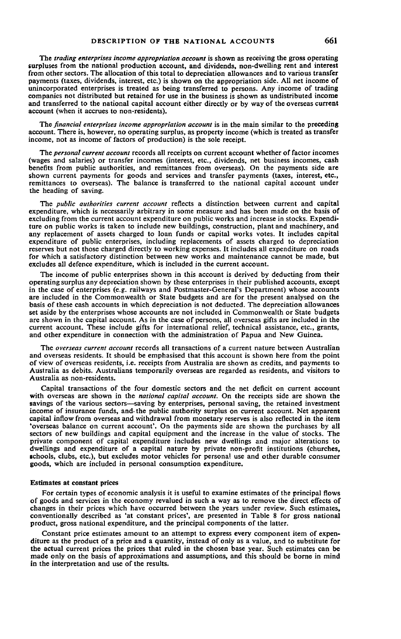The *trading enterprises income appropriation account* is shown as receiving the gross operating surpluses from the national production account, and dividends, non-dwelling rent and interest from other sectors. The allocation of this total to depreciation allowances and to various transfer payments (taxes, dividends, interest, etc.) is shown on the appropriation side. All net income of unincorporated enterprises is treated as being transferred to persons. Any income of trading companies not distributed but retained for use in the business is shown as undistributed income and transferred to the national capital account either directly or by way of the overseas current account (when it accrues to non-residents).

The *financial enterprises income appropriation account* is in the main similar to the preceding account. There is, however, no operating surplus, as property income (which is treated as transfer income, not as income of factors of production) is the sole receipt.

The *personal current account* records all receipts on current account whether of factor incomes (wages and salaries) or transfer incomes (interest, etc., dividends, net business incomes, cash benefits from public authorities, and remittances from overseas). On the payments side are shown current payments for goods and services and transfer payments (taxes, interest, etc., remittances to overseas). The balance is transferred to the national capital account under the heading of saving.

The *public authorities current account* reflects a distinction between current and capital expenditure, which is necessarily arbitrary in some measure and has been made on the basis of excluding from the current account expenditure on public works and increase in stocks. Expenditure on public works is taken to include new buildings, construction, plant and machinery, and any replacement of assets charged to loan funds or capital works votes. It includes capital expenditure of public enterprises, including replacements of assets charged to depreciation reserves but not those charged directly to working expenses. It includes all expenditure on roads for which a satisfactory distinction between new works and maintenance cannot be made, but excludes all defence expenditure, which is included in the current account.

The income of public enterprises shown in this account is derived by deducting from their operating surplus any depreciation shown by these enterprises in their published accounts, except in the case of enterprises (e.g. railways and Postmaster-General's Department) whose accounts are included in the Commonwealth or State budgets and are for the present analysed on the basis of these cash accounts in which depreciation is not deducted. The depreciation allowances set aside by the enterprises whose accounts are not included in Commonwealth or State budgets are shown in the capital account. As in the case of persons, all overseas gifts are included in the current account. These include gifts for international relief, technical assistance, etc., grants, and other expenditure in connection with the administration of Papua and New Guinea.

The *overseas current account* records all transactions of a current nature between Australian and overseas residents. It should be emphasised that this account is shown here from the point of view of overseas residents, i.e. receipts from Australia are shown as credits, and payments to Australia as debits. Australians temporarily overseas are regarded as residents, and visitors to Australia as non-residents.

Capital transactions of the four domestic sectors and the net deficit on current account with overseas are shown in the *national capital account.* On the receipts side are shown the savings of the various sectors—saving by enterprises, personal saving, the retained investment income of insurance funds, and- the public authority surplus on current account. Net apparent capital inflow from overseas and withdrawal from monetary reserves is also reflected in the item 'overseas balance on current account'. On the payments side are shown the purchases by all sectors of new buildings and capital equipment and the increase in the value of stocks. The private component of capital expenditure includes new dwellings and major alterations to dwellings and expenditure of a capital nature by private non-profit institutions (churches, schools, clubs, etc.), but excludes motor vehicles for personal use and other durable consumer goods, which are included in personal consumption expenditure.

#### **Estimates at constant prices**

For certain types of economic analysis it is useful to examine estimates of the principal flows of goods and services in the economy revalued in such a way as to remove the direct effects of changes in their prices which have occurred between the years under review. Such estimates, conventionally described as 'at constant prices', are presented in Table 8 for gross national product, gross national expenditure, and the principal components of the latter.

Constant price estimates amount to an attempt to express every component item of expenditure as the product of a price and a quantity, instead of only as a value, and to substitute for the actual current prices the prices that ruled in the chosen base year. Such estimates can be made only on the basis of approximations and assumptions, and this should be borne in mind in the interpretation and use of the results.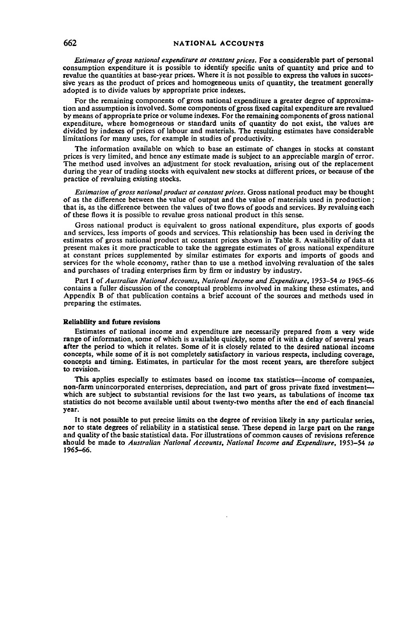*Estimates of gross national expenditure at constant prices.* For a considerable part of personal consumption expenditure it is possible to identify specific units of quantity and price and to revalue the quantities at base-year prices. Where it is not possible to express the values in successive years as the product of prices and homogeneous units of quantity, the treatment generally adopted is to divide values by appropriate price indexes.

For the remaining components of gross national expenditure a greater degree of approximation and assumption is involved. Some components of gross fixed capital expenditure are revalued by means of appropriate price or volume indexes. For the remaining components of gross national expenditure, where homogeneous or standard units of quantity do not exist, the values are divided by indexes of prices of labour and materials. The resulting estimates have considerable limitations for many uses, for example in studies of productivity.

The information available on which to base an estimate of changes in stocks at constant prices is very limited, and hence any estimate made is subject to an appreciable margin of error. The method used involves an adjustment for stock revaluation, arising out of the replacement during the year of trading stocks with equivalent new stocks at different prices, or because of the practice of revaluing existing stocks.

*Estimation of gross national product at constant prices.* Gross national product may be thought of as the difference between the value of output and the value of materials used in production; that is, as the difference between the values of two flows of goods and services. By revaluing each of these flows it is possible to revalue gross national product in this sense.

Gross national product is equivalent to gross national expenditure, plus exports of goods and services, less imports of goods and services. This relationship has been used in deriving the estimates of gross national product at constant prices shown in Table 8. Availability of data at present makes it more practicable to take the aggregate estimates of gross national expenditure at constant prices supplemented by similar estimates for exports and imports of goods and services for the whole economy, rather than to use a method involving revaluation of the sales and purchases of trading enterprises firm by firm or industry by industry.

Part I *of Australian National Accounts, National Income and Expenditure,* 1953-54 *to* 1965-66 contains a fuller discussion of the conceptual problems involved in making these estimates, and Appendix B of that publication contains a brief account of the sources and methods used in preparing the estimates.

#### **Reliability and future revisions**

Estimates of national income and expenditure are necessarily prepared from a very wide range of information, some of which is available quickly, some of it with a delay of several years after the period to which it relates. Some of it is closely related to the desired national income concepts, while some of it is not completely satisfactory in various respects, including coverage, concepts and timing. Estimates, in particular for the most recent years, are therefore subject to revision.

This applies especially to estimates based on income tax statistics—income of companies, non-farm unincorporated enterprises, depreciation, and part of gross private fixed investment which are subject to substantial revisions for the last two years, as tabulations of income tax statistics do not become available until about twenty-two months after the end of each financial year.

It is not possible to put precise limits on the degree of revision likely in any particular series, nor to state degrees of reliability in a statistical sense. These depend in large part on the range and quality of the basic statistical data. For illustrations of common causes of revisions reference should be made to *Australian National Accounts, National Income and Expenditure,* 1953-54 *to* 1965-66.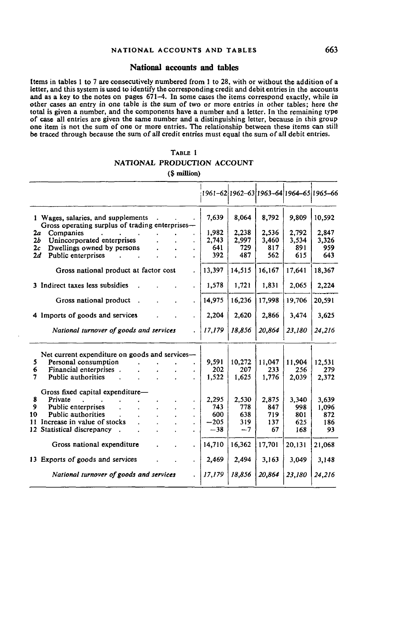#### **National accounts and tables**

[terns in tables 1 to 7 are consecutively numbered from 1 to 28, with or without the addition of a letter, and this system is used to identify the corresponding credit and debit entries in the accounts and as a key to the notes on pages 671-4. In some cases the items correspond exactly, while in other cases an entry in one table is the sum of two or more entries in other tables; here the total is given a number, and the components have a number and a letter. In the remaining type of case all entries are given the same number and a distinguishing letter, because in this group one item is not the sum of one or more entries. The relationship between these items can still be traced through because the sum of all credit entries must equal the sum of all debit entries.

## TABLE I **NATIONAL PRODUCTION ACCOUNT**

**(\$ million)**

|                                                                                       |                      |        |        |        |        | 1961-62 1962-63 1963-64 1964-65 1965-66 |
|---------------------------------------------------------------------------------------|----------------------|--------|--------|--------|--------|-----------------------------------------|
| 1 Wages, salaries, and supplements<br>Gross operating surplus of trading enterprises— |                      | 7,639  | 8,064  | 8,792  | 9,809  | 10,592                                  |
| Companies<br>2а                                                                       |                      | 1,982  | 2,238  | 2.536  | 2.792  | 2,847                                   |
| Unincorporated enterprises<br>2b                                                      |                      | 2.743  | 2,997  | 3,460  | 3,534  | 3,326                                   |
| Dwellings owned by persons<br>2c                                                      |                      | 641    | 729    | 817    | 891    | 959                                     |
| Public enterprises<br>2d                                                              |                      | 392    | 487    | 562    | 615    | 643                                     |
| Gross national product at factor cost                                                 |                      | 13,397 | 14,515 | 16,167 | 17,641 | 18,367                                  |
| 3 Indirect taxes less subsidies                                                       |                      | 1,578  | 1,721  | 1,831  | 2,065  | 2.224                                   |
| Gross national product                                                                |                      | 14,975 | 16,236 | 17,998 | 19,706 | 20,591                                  |
| 4 Imports of goods and services                                                       |                      | 2,204  | 2,620  | 2,866  | 3,474  | 3,625                                   |
| National turnover of goods and services                                               |                      | 17,179 | 18,856 | 20,864 | 23,180 | 24,216                                  |
| Net current expenditure on goods and services—                                        |                      |        |        |        |        |                                         |
| Personal consumption<br>5.                                                            |                      | 9.591  | 10,272 | 11,047 | 11,904 | 12,531                                  |
| Financial enterprises.<br>6                                                           |                      | 202    | 207    | 233    | 256    | 279                                     |
| Public authorities<br>7                                                               |                      | 1.522  | 1,625  | 1,776  | 2,039  | 2,372                                   |
| Gross fixed capital expenditure-                                                      |                      |        |        |        |        |                                         |
| Private<br>8                                                                          |                      | 2,295  | 2,530  | 2,875  | 3.340  | 3,639                                   |
| Public enterprises<br>9                                                               |                      | 743    | 778    | 847    | 998    | 1,096                                   |
| <b>Public authorities</b><br>10                                                       |                      | 600    | 638    | 719    | 801    | 872                                     |
| 11 Increase in value of stocks                                                        |                      | $-205$ | 319    | 137    | 625    | 186                                     |
| 12 Statistical discrepancy                                                            |                      | $-38$  | $-7$   | 67     | 168    | 93                                      |
| Gross national expenditure                                                            | $\ddot{\phantom{a}}$ | 14,710 | 16,362 | 17,701 | 20,131 | 21,068                                  |
| 13 Exports of goods and services                                                      |                      | 2,469  | 2,494  | 3,163  | 3,049  | 3.148                                   |
| National turnover of goods and services                                               |                      | 17,179 | 18,856 | 20,864 | 23.180 | 24,216                                  |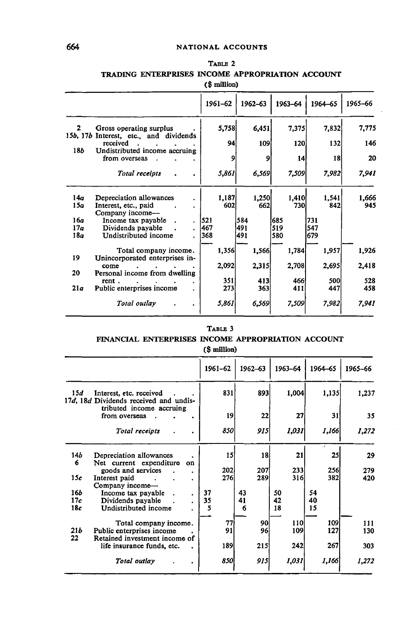|                          | TRADING ENTERPRISES INCOME APPROPRIATION ACCOUNT         | (\$ million) |         |         |         |         |
|--------------------------|----------------------------------------------------------|--------------|---------|---------|---------|---------|
|                          |                                                          | 1961-62      | 1962-63 | 1963-64 | 1964-65 | 1965-66 |
| $\mathbf{2}$<br>15b, 17b | Gross operating surplus<br>Interest, etc., and dividends | 5,758        | 6,451   | 7,375   | 7,832   | 7,775   |
|                          | received                                                 | 94           | 109     | 120     | 132     | 146     |
| <b>18b</b>               | Undistributed income accruing<br>from overseas           | 9            | 9       | 14      | 18      | 20      |
|                          | Total receipts                                           | 5,861        | 6,569   | 7,509   | 7,982   | 7,941   |
| 14a                      | Depreciation allowances                                  | 1,187        | 1,250   | 1,410   | 1,541   | 1,666   |
| 15a                      | Interest, etc., paid<br>Company income—                  | 602          | 662     | 730     | 842     | 945     |
| 16a                      | Income tax payable                                       | 521          | 584     | 685     | 731     |         |
| 17a                      | Dividends payable                                        | 467          | 491     | 519     | 547     |         |
| 18a                      | Undistributed income                                     | 368          | 491     | 580     | 679     |         |
| 19                       | Total company income.<br>Unincorporated enterprises in-  | 1,356        | 1,566   | 1,784   | 1,957   | 1,926   |
|                          | come                                                     | 2,092        | 2,315   | 2,708   | 2,695   | 2,418   |
| 20                       | Personal income from dwelling                            |              |         |         |         |         |
|                          | rent.                                                    | 351          | 413     | 466     | 500     | 528     |
| 21a                      | Public enterprises income                                | 273          | 363     | 411     | 447     | 458     |
|                          | Total outlay                                             | 5,861        | 6,569   | 7,509   | 7,982   | 7,941   |

# **TABLE 2 TRADING ENTERPRISES INCOME APPROPRIATION ACCOUNT**

#### **TABLE 3**

#### **FINANCIAL ENTERPRISES INCOME APPROPRIATION ACCOUNT**

### **(\$ million)**

|            |                                                                   | 1961-62     | $1962 - 63$ | 1963-64 | 1964-65 | 1965-66 |
|------------|-------------------------------------------------------------------|-------------|-------------|---------|---------|---------|
| 15d        | Interest, etc. received<br>17d, 18d Dividends received and undis- | 831         | 893         | 1,004   | 1,135   | 1,237   |
|            | tributed income accruing<br>from overseas                         | 19          | 22          | 27      | 31      | 35      |
|            | Total receipts                                                    | 8501        | 915         | 1,031   | 1,166   | 1,272   |
| 14b        | Depreciation allowances                                           | 15          | 18          | 21      | 25      | 29      |
| 6          | Net current expenditure<br>on<br>goods and services               | <b>2021</b> | 207         | 233     | 256     | 279     |
| 15c        | Interest paid<br>Company income-                                  | <b>276</b>  | 289         | 316     | 382     | 420     |
| <b>16b</b> | Income tax payable                                                | 37          | 43          | 50      | 54      |         |
| 17c        | Dividends payable                                                 | 35          | 41          | 42      | 40      |         |
| 18c        | Undistributed income                                              | 5           | 6           | 18      | 15      |         |
|            | Total company income.                                             | 77          | 90          | 110     | 109     | 111     |
| 21b        | Public enterprises income                                         | 91          | 96          | 109     | 127     | 130     |
| 22         | Retained investment income of                                     |             |             |         |         |         |
|            | life insurance funds, etc.                                        | 189l        | 215         | 242     | 267     | 303     |
|            | Total outlay                                                      | 850         | 915         | 1,031   | 1,166   | 1,272   |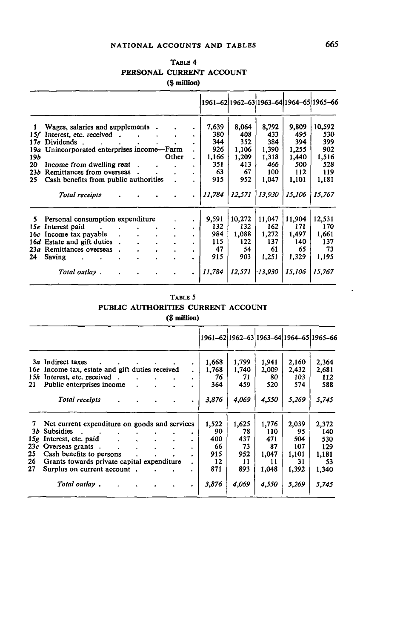## **NATIONAL ACCOUNTS AND TABLES 665**

|              |                                                  |                                  |                |                               |        |        |           |        | 1961-62 1962-63 1963-64 1964-65 1965-66 |
|--------------|--------------------------------------------------|----------------------------------|----------------|-------------------------------|--------|--------|-----------|--------|-----------------------------------------|
| $\mathbf{I}$ | Wages, salaries and supplements.                 |                                  |                |                               | 7,639  | 8,064  | 8,792     | 9,809  | 10,592                                  |
| 15f          | Interest, etc. received.                         |                                  |                |                               | 380    | 408    | 433       | 495    | 530                                     |
| 17e          | Dividends.<br>$\sim$ $\sim$ $\sim$ $\sim$ $\sim$ | $\bullet$ . The set of $\bullet$ | $\blacksquare$ |                               | 344    | 352    | 384       | 394    | 399                                     |
|              | 19a Unincorporated enterprises income-Farm       |                                  |                |                               | 926    | 1.106  | 1,390     | 1,255  | 902                                     |
| 19b          |                                                  |                                  |                | Other                         | 1,166  | 1,209  | 1,318     | 1,440  | 1,516                                   |
| 20           | Income from dwelling rent.                       |                                  |                |                               | 351    | 413    | 466       | 500    | 528                                     |
| 23b          | Remittances from overseas                        |                                  |                |                               | 63     | 67     | 100       | 112    | 119                                     |
| 25           | Cash benefits from public authorities            |                                  |                |                               | 915    | 952    | 1,047     | 1,101  | 1,181                                   |
|              | Total receipts                                   |                                  |                |                               | 11,784 | 12,571 | 13,930    | 15,106 | 15,767                                  |
| 5.           | Personal consumption expenditure                 |                                  |                |                               | 9,591  | 10,272 | 11,047    | 11,904 | 12,531                                  |
|              | 15e Interest paid                                |                                  |                |                               | 132    | 132    | 162       | 171    | 170                                     |
| 16c          | Income tax payable                               | $\bullet$                        |                | $\mathbf{r}$ and $\mathbf{r}$ | 984    | 1,088  | 1.272     | 1,497  | 1.661                                   |
|              | 16d Estate and gift duties                       |                                  |                |                               | 115    | 122    | 137       | 140    | 137                                     |
| 23a          | Remittances overseas                             |                                  |                |                               | 47     | 54     | 61        | 65     | 73                                      |
| 24           | Saving                                           |                                  |                |                               | 915    | 903    | 1,251     | 1,329  | 1,195                                   |
|              | Total outlay.                                    |                                  |                |                               | 11,784 | 12,571 | $-13.930$ | 15,106 | 15,767                                  |

#### TABLE 4 **PERSONAL CURRENT ACCOUNT (\$ minion)**

# TABLE 5 **PUBLIC AUTHORITIES CURRENT ACCOUNT**

|  | (\$ million) |
|--|--------------|
|--|--------------|

|     |                                                 |                                    |                                     |  | 1961-62 1962-63 1963-64 1964-65 1965-66 |       |       |       |       |
|-----|-------------------------------------------------|------------------------------------|-------------------------------------|--|-----------------------------------------|-------|-------|-------|-------|
|     | 3a Indirect taxes                               |                                    | the contract of the contract of the |  | 1,668                                   | 1,799 | 1.941 | 2.160 | 2,364 |
|     | 16e Income tax, estate and gift duties received |                                    |                                     |  | 1,768                                   | 1,740 | 2,009 | 2,432 | 2,681 |
| 15h | Interest, etc. received.                        |                                    |                                     |  | 76                                      | 71    | 80    | 103   | 112   |
| 21  | Public enterprises income                       |                                    |                                     |  | 364                                     | 459.  | 520   | 574   | 588   |
|     | Total receipts                                  |                                    |                                     |  | 3,876                                   | 4,069 | 4,550 | 5,269 | 5,745 |
| 7   | Net current expenditure on goods and services   |                                    |                                     |  | 1,522                                   | 1,625 | 1.776 | 2,039 | 2,372 |
| 3Ь  | <b>Subsidies</b><br><b>CALCULATION</b>          |                                    |                                     |  | 90                                      | 78    | 110   | 95    | 140   |
| 15g | Interest, etc. paid                             | $\sim$ $\sim$ $\sim$ $\sim$ $\sim$ | $\ddot{\phantom{0}}$                |  | 400                                     | 437   | 471   | 504   | 530   |
| 23c | Overseas grants.                                | $\ddot{\phantom{a}}$               | $\cdot$                             |  | 66                                      | 73    | 87    | 107   | 129   |
| 25  | Cash benefits to persons                        |                                    |                                     |  | 915                                     | 952   | 1.047 | 1,101 | 1,181 |
| 26  | Grants towards private capital expenditure      |                                    |                                     |  | 12                                      | 11    | 11    | 31    | 53    |
| 27  | Surplus on current account.                     |                                    |                                     |  | 871                                     | 893   | 1,048 | 1,392 | 1,340 |
|     | Total outlay,                                   |                                    |                                     |  | 3,876                                   | 4,069 | 4,550 | 5,269 | 5,745 |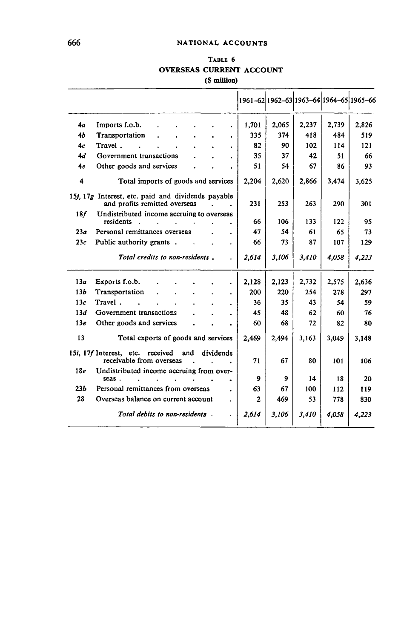## TABLE 6 **OVERSEAS CURRENT ACCOUNT (\$ million)**

|                 |                                                                                                      |       | 1961-62 1962-63 1963-64 1964-65 1965-66 |       |       |       |
|-----------------|------------------------------------------------------------------------------------------------------|-------|-----------------------------------------|-------|-------|-------|
| 4а              | Imports f.o.b.                                                                                       | 1,701 | 2,065                                   | 2,237 | 2,739 | 2,826 |
| 4b              | Transportation                                                                                       | 335   | 374                                     | 418   | 484   | 519   |
| 4c              | Travel.                                                                                              | 82    | 90                                      | 102   | 114   | 121   |
| 4d              | Government transactions                                                                              | 35    | 37                                      | 42    | 51    | 66    |
| 4e              | Other goods and services                                                                             | 51    | 54                                      | 67    | 86    | 93    |
| 4               | Total imports of goods and services                                                                  | 2,204 | 2,620                                   | 2,866 | 3,474 | 3,625 |
|                 | 15 <i>i</i> , 17 <i>g</i> Interest, etc. paid and dividends payable<br>and profits remitted overseas | 231   | 253                                     | 263   | 290   | 301   |
| 18f             | Undistributed income accruing to overseas<br>residents<br>$\mathbf{r}$<br>the company of the company | 66    | 106                                     | 133   | 122   | 95    |
| 23a             | Personal remittances overseas                                                                        | 47    | 54                                      | 61    | 65    | 73    |
| 23c             | Public authority grants.<br>$\bullet$                                                                | 66    | 73                                      | 87    | 107   | 129   |
|                 | Total credits to non-residents.                                                                      | 2.614 | 3,106                                   | 3.410 | 4.058 | 4,223 |
| 13a             | Exports f.o.b.<br>٠                                                                                  | 2,128 | 2,123                                   | 2,732 | 2,575 | 2,636 |
| 13b             | Transportation                                                                                       | 200   | 220                                     | 254   | 278   | 297   |
| 13c             | Travel.                                                                                              | 36    | 35                                      | 43    | 54    | 59    |
| 13d             | Government transactions                                                                              | 45    | 48                                      | 62    | 60    | 76    |
| 13e             | Other goods and services                                                                             | 60    | 68                                      | 72    | 82    | 80    |
| 13              | Total exports of goods and services                                                                  | 2,469 | 2,494                                   | 3,163 | 3,049 | 3,148 |
|                 | 15i, 17f Interest, etc. received<br>dividends<br>and<br>receivable from overseas                     | 71    | 67                                      | 80    | 101   | 106   |
| 18 <sub>e</sub> | Undistributed income accruing from over-<br>seas.                                                    | 9     | 9                                       | 14    | 18    | 20    |
| 23b             | Personal remittances from overseas                                                                   | 63    | 67                                      | 100   | 112   | 119   |
| 28              | Overseas balance on current account                                                                  | 2     | 469                                     | 53    | 778   | 830   |
|                 | Total debits to non-residents.                                                                       | 2.614 | 3.106                                   | 3,410 | 4.058 | 4.223 |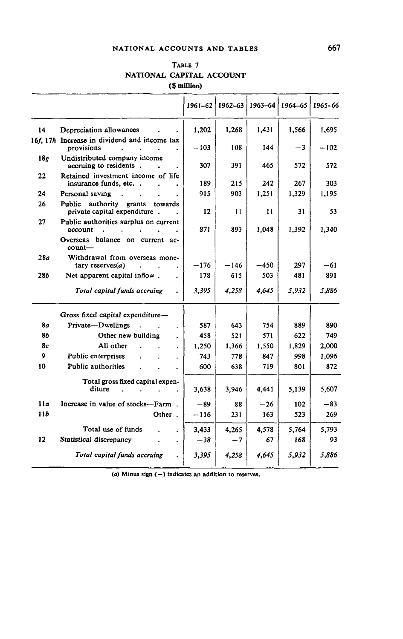### NATIONAL ACCOUNTS AND TABLES 667

| TABLE 7                  |  |
|--------------------------|--|
| NATIONAL CAPITAL ACCOUNT |  |
| (\$ million)             |  |
|                          |  |

|                 |                                                                                                            | 1961–62 | 1962-63 | $1963 - 64$ | $1964 - 65$ | 1965-66 |
|-----------------|------------------------------------------------------------------------------------------------------------|---------|---------|-------------|-------------|---------|
| 14              | Depreciation allowances                                                                                    | 1,202   | 1,268   | 1,431       | 1,566       | 1,695   |
|                 | 16f, 17h Increase in dividend and income tax<br>provisions<br>$\ddot{\phantom{a}}$<br>$\ddot{\phantom{0}}$ | $-103$  | 108     | 144         | $-3$        | $-102$  |
| 18 <sub>g</sub> | Undistributed company income<br>accruing to residents.                                                     | 307     | 391     | 465         | 572         | 572     |
| 22              | Retained investment income of life<br>insurance funds, etc                                                 | 189     | 215     | 242         | 267         | 303     |
| 24              | Personal saving<br>$\sim$                                                                                  | 915     | 903     | 1,251       | 1,329       | 1,195   |
| 26              | Public authority grants<br>towards<br>private capital expenditure.                                         | 12      | 11      | 11          | 31          | 53      |
| 27              | Public authorities surplus on current<br>account                                                           | 871     | 893     | 1,048       | 1.392       | 1,340   |
|                 | Overseas balance on current ac-<br>count-                                                                  |         |         |             |             |         |
| 28a             | Withdrawal from overseas mone-<br>tary reserves $(a)$<br>÷                                                 | $-176$  | $-146$  | -450        | 297         | -61     |
| 28b             | Net apparent capital inflow.                                                                               | 178     | 615     | 503         | 481         | 891     |
|                 | Total capital funds accruing                                                                               | 3.395   | 4,258   | 4,645       | 5,932       | 5,886   |
|                 | Gross fixed capital expenditure-                                                                           |         |         |             |             |         |
| 8a              | Private-Dwellings<br>$\overline{a}$                                                                        | 587     | 643     | 754         | 889         | 890     |
| 85              | Other new building                                                                                         | 458     | 521     | 571         | 622         | 749     |
| 8с              | All other                                                                                                  | 1,250   | 1,366   | 1.550       | 1.829       | 2,000   |
| 9               | Public enterprises                                                                                         | 743     | 778     | 847         | 998         | 1,096   |
| 10              | Public authorities                                                                                         | 600     | 638     | 719         | 801         | 872     |
|                 | Total gross fixed capital expen-                                                                           |         |         |             |             |         |
|                 | diture                                                                                                     | 3.638   | 3,946   | 4.441       | 5,139       | 5,607   |
| 11a             | Increase in value of stocks-Farm.                                                                          | $-89$   | 88      | $-26$       | 102         | $-83$   |
| 115             | Other.                                                                                                     | $-116$  | 231     | 163         | 523         | 269     |
|                 | Total use of funds<br>$\cdot$                                                                              | 3.433   | 4,265   | 4.578       | 5,764       | 5,793   |
| 12              | Statistical discrepancy<br>$\ddot{\phantom{1}}$                                                            | $-38$   | $-7$    | 67          | 168         | 93      |
|                 | Total capital funds accruing                                                                               | 3,395   | 4,258   | 4,645       | 5,932       | 5,886   |

*(a)* Minus sign (—) indicates an addition to reserves.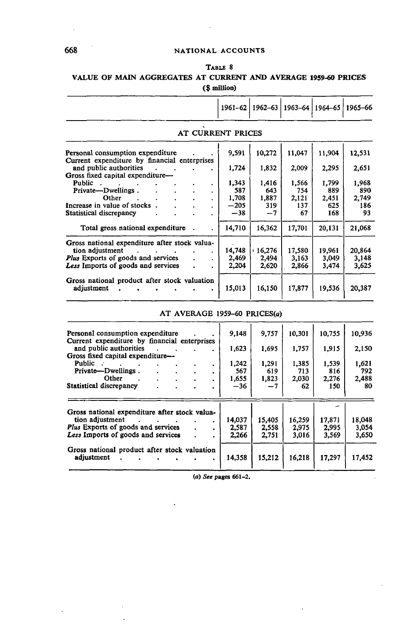## TABLE 8

# **VALUE OF MAIN AGGREGATES AT CURRENT AND AVERAGE 1959-60 PRICES**

#### **(\$ million)**

|                                                                        |              | 1961-62   1962-63 |              | 1963-64   1964-65   1965-66 |              |
|------------------------------------------------------------------------|--------------|-------------------|--------------|-----------------------------|--------------|
| AT CURRENT PRICES                                                      |              |                   |              |                             |              |
| Personal consumption expenditure                                       | 9,591        | 10,272            | 11,047       | 11,904                      | 12,531       |
| Current expenditure by financial enterprises<br>and public authorities | 1,724        | 1,832             | 2,009        | 2,295                       | 2,651        |
| Gross fixed capital expenditure—<br>Public.<br>٠                       | 1.343        | 1,416             | 1,566        | 1,799                       | 1,968        |
| Private—Dwellings.<br>٠<br>Other                                       | 587<br>1,708 | 643<br>1,887      | 754<br>2,121 | 889<br>2,451                | 890<br>2.749 |
| $\mathbf{r}$<br>Increase in value of stocks<br>$\bullet$               | $-205$       | 319               | 137          | 625                         | 186          |
| <b>Statistical discrepancy</b><br>$\bullet$                            | $-38$        | $-7$              | 67           | 168                         | 93           |
| Total gross national expenditure.<br>$\bullet$                         | 14,710       | 16,362            | 17,701       | 20,131                      | 21,068       |
| Gross national expenditure after stock valua-                          |              |                   |              |                             |              |
| tion adjustment<br>and the state of the state<br>$\bullet$             | 14,748       | .16,276           | 17,580       | 19.961                      | 20,864       |
| <b>Plus</b> Exports of goods and services<br>$\bullet$                 | 2,469        | 2,494             | 3,163        | 3,049                       | 3,148        |
| Less Imports of goods and services<br>٠                                | 2,204        | 2,620             | 2,866        | 3,474                       | 3,625        |
| Gross national product after stock valuation                           |              |                   |              |                             |              |
| adjustment<br>$\bullet$                                                | 15,013       | 16,150            | 17,877       | 19,536                      | 20,387       |

## AT AVERAGE 1959-60 PRICES(a)

| Personal consumption expenditure              |  |   | 9,148  | 9,757  | 10,301 | 10,755 | 10.936 |
|-----------------------------------------------|--|---|--------|--------|--------|--------|--------|
| Current expenditure by financial enterprises  |  |   |        |        |        |        |        |
| and public authorities                        |  |   | 1,623  | 1,695  | 1,757  | 1,915  | 2,150  |
| Gross fixed capital expenditure-              |  |   |        |        |        |        |        |
| <b>Public</b>                                 |  |   | 1,242  | 1,291  | 1,385  | 1.539  | 1,621  |
| Private-Dwellings.                            |  |   | 567    | 619    | 713    | 816    | 792    |
| Other                                         |  |   | 1.655  | 1,823  | 2,030  | 2,276  | 2,488  |
| Statistical discrepancy                       |  |   | $-36$  | -7     | 62     | 150    | 80     |
|                                               |  |   |        |        |        |        |        |
|                                               |  |   |        |        |        |        |        |
| Gross national expenditure after stock valua- |  |   |        |        |        |        |        |
| tion adjustment                               |  | ٠ | 14.037 | 15,405 | 16,259 | 17,871 | 18,048 |
| Plus Exports of goods and services            |  |   | 2,587  | 2,558  | 2.975  | 2.995  | 3,054  |
| Less Imports of goods and services            |  |   | 2.266  | 2,751  | 3,016  | 3.569  | 3,650  |
| Gross national product after stock valuation  |  |   |        |        |        |        |        |
| adjustment                                    |  |   | 14,358 | 15,212 | 16,218 | 17.297 | 17,452 |
|                                               |  |   |        |        |        |        |        |

*(a) See* pages 661-2.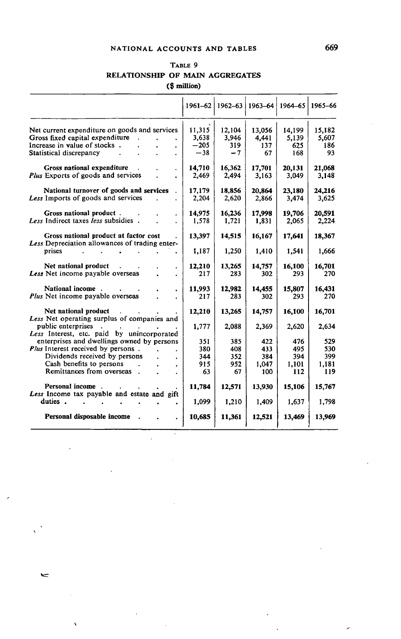## **NATIONAL ACCOUNTS AND TABLES 669**

## TABLE 9 **RELATIONSHIP OF MAIN AGGREGATES (\$ million)**

|                                                        | 1961-62 |        | $1962 - 63$   1963-64 |        | 1964-65   1965-66 |
|--------------------------------------------------------|---------|--------|-----------------------|--------|-------------------|
| Net current expenditure on goods and services          | 11,315  | 12.104 | 13,056                | 14,199 | 15.182            |
| Gross fixed capital expenditure                        | 3,638   | 3,946  | 4.441                 | 5,139  | 5,607             |
| Increase in value of stocks.                           | $-205$  | 319    | 137                   | 625    | 186               |
| Statistical discrepancy                                | $-38$   | $-7$   | 67                    | 168    | 93                |
| Gross national expenditure                             | 14,710  | 16,362 | 17,701                | 20,131 | 21,068            |
| Plus Exports of goods and services                     | 2,469   | 2,494  | 3,163                 | 3,049  | 3.148             |
|                                                        |         |        |                       |        |                   |
| National turnover of goods and services                | 17,179  | 18,856 | 20,864                | 23,180 | 24,216            |
| Less Imports of goods and services                     | 2,204   | 2,620  | 2,866                 | 3,474  | 3.625             |
| Gross national product.                                | 14,975  | 16,236 | 17,998                | 19,706 | 20,591            |
| Less Indirect taxes less subsidies.                    | 1,578   | 1,721  | 1,831                 | 2,065  | 2,224             |
|                                                        |         |        |                       |        |                   |
| Gross national product at factor cost                  | 13,397  | 14,515 | 16,167                | 17,641 | 18,367            |
| Less Depreciation allowances of trading enter-         |         |        |                       |        |                   |
| prises                                                 | 1,187   | 1,250  | 1,410                 | 1,541  | 1,666             |
| Net national product                                   | 12,210  | 13,265 | 14,757                | 16,100 | 16,701            |
| Less Net income payable overseas                       | 217     | 283    | 302                   | 293    | 270               |
|                                                        |         |        |                       |        |                   |
| National income.                                       | 11,993  | 12,982 | 14,455                | 15,807 | 16,431            |
| Plus Net income payable overseas                       | 217     | 283    | 302                   | 293    | 270               |
| Net national product                                   |         |        |                       |        |                   |
| Less Net operating surplus of companies and            | 12,210  | 13,265 | 14,757                | 16,100 | 16,701            |
| public enterprises                                     | 1.777   | 2,088  | 2,369                 | 2,620  | 2,634             |
| Less Interest, etc. paid by unincorporated             |         |        |                       |        |                   |
| enterprises and dwellings owned by persons             | 351     | 385    | 422                   | 476    | 529               |
| Plus Interest received by persons.                     | 380     | 408    | 433                   | 495    | 530               |
| Dividends received by persons                          | 344     | 352    | 384                   | 394    | 399               |
| Cash benefits to persons                               | 915     | 952    | 1.047                 | 1,101  | 1.181             |
| Remittances from overseas                              | 63      | 67     | 100                   | 112    | 119               |
|                                                        |         |        |                       |        |                   |
| Personal income                                        | 11,784  | 12.571 | 13,930                | 15,106 | 15,767            |
| Less Income tax payable and estate and gift<br>duties. |         |        |                       |        |                   |
|                                                        | 1,099   | 1,210  | 1,409                 | 1.637  | 1,798             |
| Personal disposable income                             | 10,685  | 11,361 | 12,521                | 13,469 | 13,969            |
|                                                        |         |        |                       |        |                   |

 $\bar{z}$ 

 $\mathcal{L}$ 

 $\leq$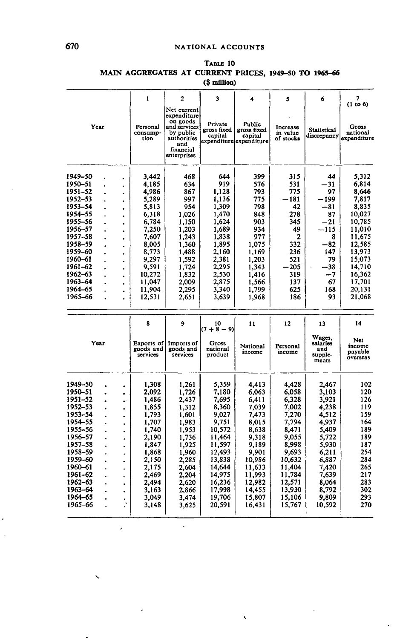|                    |  |                      |                                     |                                                                                                                       | (ә шшоп)                          |                                                             |                                   |                                               |                                      |
|--------------------|--|----------------------|-------------------------------------|-----------------------------------------------------------------------------------------------------------------------|-----------------------------------|-------------------------------------------------------------|-----------------------------------|-----------------------------------------------|--------------------------------------|
|                    |  |                      | 1                                   | $\overline{a}$                                                                                                        | 3                                 | 4                                                           | 5                                 | 6                                             | 7<br>(1 to 6)                        |
| Year               |  |                      | Personal<br>consump-<br>tion        | Net current<br>expenditure<br>on goods<br>and services<br>by public<br>authorities<br>and<br>financial<br>enterprises | Private<br>gross fixed<br>capital | Public<br>gross fixed<br>capital<br>expenditure expenditure | Increase<br>in value<br>of stocks | <b>Statistical</b><br>discrepancy             | Gross<br>national<br>expenditure     |
| 1949-50            |  |                      | 3.442                               | 468                                                                                                                   | 644                               | 399                                                         | 315                               | 44                                            | 5.312                                |
| 1950–51            |  | $\bullet$            | 4.185                               | 634                                                                                                                   | 919                               | 576                                                         | 531                               | $-31$                                         | 6,814                                |
| 1951-52            |  |                      | 4,986                               | 867                                                                                                                   | 1,128                             | 793                                                         | 775                               | 97                                            | 8,646                                |
| 1952-53            |  | $\bullet$            | 5,289                               | 997                                                                                                                   | 1,136                             | 775                                                         | - 181                             | - 199                                         | 7,817                                |
| 1953-54            |  | ٠                    | 5,813                               | 954                                                                                                                   | 1,309                             | 798                                                         | 42                                | -81                                           | 8,835                                |
| 1954-55            |  | $\ddot{\phantom{0}}$ |                                     | 1.026                                                                                                                 | 1,470                             | 848                                                         | 278                               | 87                                            | 10,027                               |
|                    |  |                      | 6,318                               |                                                                                                                       |                                   |                                                             |                                   |                                               |                                      |
| 1955–56            |  |                      | 6,784                               | 1,150                                                                                                                 | 1,624                             | 903                                                         | 345                               | $-21$                                         | 10,785                               |
| 1956-57            |  | $\bullet$            | 7,250                               | 1,203                                                                                                                 | 1,689                             | 934                                                         | 49                                | -115                                          | 11.010                               |
| 1957–58            |  | ٠                    | 7,607                               | 1.243                                                                                                                 | 1,838                             | 977                                                         | 2                                 | 8                                             | 11,675                               |
| 1958-59            |  | ×.                   | 8,005                               | 1,360                                                                                                                 | 1,895                             | 1,075                                                       | 332                               | $-82$                                         | 12,585                               |
| 1959–60            |  | $\bullet$            | 8,773                               | 1,488                                                                                                                 | 2,160                             | 1,169                                                       | 236                               | 147                                           | 13,973                               |
| 1960-61            |  |                      | 9,297                               | 1,592                                                                                                                 | 2.381                             | 1,203                                                       | 521                               | 79                                            | 15,073                               |
| 1961-62            |  | ٠                    | 9,591                               | 1,724                                                                                                                 | 2,295                             | 1,343                                                       | -205                              | $-38$                                         | 14,710                               |
| 1962–63            |  | Ä.                   | 10,272                              | 1,832                                                                                                                 | 2,530                             | 1.416                                                       | 319                               | -7                                            | 16,362                               |
| 1963-64            |  |                      | 11,047                              | 2.009                                                                                                                 | 2,875                             | 1,566                                                       | 137                               | 67                                            | 17,701                               |
| 1964–65            |  | ٠                    | 11,904                              | 2,295                                                                                                                 | 3,340                             | 1,799                                                       | 625                               | 168                                           | 20,131                               |
| 1965-66            |  |                      | 12,531                              | 2,651                                                                                                                 | 3,639                             | 1,968                                                       | 186                               | 93                                            | 21,068                               |
|                    |  |                      |                                     |                                                                                                                       |                                   |                                                             |                                   |                                               |                                      |
|                    |  |                      | 8                                   | 9                                                                                                                     | 10<br>$(7 + 8 - 9)$               | 11                                                          | 12                                | 13                                            | 14                                   |
| Year               |  |                      | Exports of<br>goods and<br>services | Imports of<br>goods and<br>services                                                                                   | Gross<br>national<br>product      | National<br>income                                          | Personal<br>income                | Wages,<br>salaries<br>and<br>supple-<br>ments | Net<br>income<br>payable<br>overseas |
| 1949-50            |  |                      | 1,308                               | 1,261                                                                                                                 | 5,359                             | 4,413                                                       | 4.428                             | 2,467                                         | 102                                  |
| 1950-51            |  | $\bullet$            | 2,092                               | 1,726                                                                                                                 | 7.180                             | 6.063                                                       | 6.058                             | 3.103                                         | 120                                  |
| 1951-52            |  |                      | 1,486                               | 2,437                                                                                                                 | 7,695                             | 6,411                                                       | 6,328                             | 3,921                                         | 126                                  |
| 1952-53            |  | $\bullet$            | 1,855                               | 1,312                                                                                                                 | 8,360                             | 7.039                                                       | 7,002                             | 4.238                                         | 119                                  |
| 1953-54            |  | $\bullet$            | 1,793                               | 1,601                                                                                                                 | 9,027                             | 7,473                                                       | 7,270                             | 4,512                                         | 159                                  |
| 1954-55            |  | ٠                    | 1,707                               | 1,983                                                                                                                 | 9,751                             | 8,015                                                       | 7,794                             | 4,937                                         | 164                                  |
| 1955-56            |  | $\blacksquare$       | 1,740                               | 1,953                                                                                                                 | 10,572                            | 8,638                                                       | 8,471                             | 5,409                                         | 189                                  |
| 1956–57            |  | ٠                    | 2,190                               | 1,736                                                                                                                 | 11,464                            | 9,318                                                       | 9.055                             | 5,722                                         | 189                                  |
| 1957–58            |  |                      | 1,847                               | 1,925                                                                                                                 | 11,597                            | 9.189                                                       | 8,998                             | 5,930                                         | 187                                  |
| 1958-59            |  |                      | 1,868                               | 1,960                                                                                                                 | 12,493                            | 9,901                                                       | 9,693                             | 6,211                                         | 254                                  |
| 1959-60            |  | $\bullet$            | 2.150                               | 2,285                                                                                                                 | 13,838                            | 10,986                                                      | 10,632                            | 6.887                                         | 284                                  |
| 1960-61            |  | ä                    | 2.175                               | 2,604                                                                                                                 | 14,644                            | 11.633                                                      | 11.404                            | 7,420                                         | 265                                  |
| 1961-62            |  |                      |                                     |                                                                                                                       | 14,975                            | 11,993                                                      | 11,784                            | 7,639                                         | 217                                  |
| 1962-63            |  |                      | 2,469                               | 2,204                                                                                                                 |                                   |                                                             |                                   |                                               | 283                                  |
|                    |  |                      | 2,494                               | 2,620                                                                                                                 | 16,236                            | 12,982                                                      | 12,571                            | 8,064                                         |                                      |
|                    |  |                      |                                     |                                                                                                                       |                                   |                                                             |                                   |                                               |                                      |
| 1963-64            |  |                      | 3.163                               | 2,866                                                                                                                 | 17,998                            | 14.455                                                      | 13,930                            | 8,792                                         | 302                                  |
| 1964-65<br>1965-66 |  | $\bullet$            | 3,049<br>3,148                      | 3,474<br>3,625                                                                                                        | 19,706<br>20,591                  | 15,807<br>16,431                                            | 15,106<br>15,767                  | 9,809<br>10,592                               | 293<br>270                           |

ä,

#### TABLE 10 **MAIN AGGREGATES AT CURRENT PRICES, 1949-50 TO 1965-66 (S million)**

 $\bar{r}$ 

j,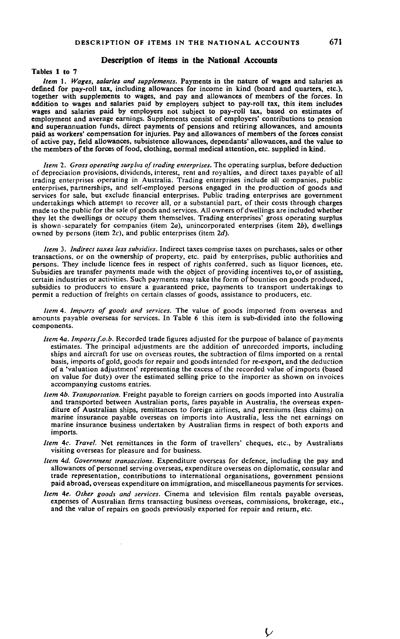#### **Description of items in the National Accounts**

**Tables 1 to 7**

*Item* 1. *Wages, salaries and supplements.* Payments in the nature of wages and salaries as defined for pay-roll tax, including allowances for income in kind (board and quarters, etc.), together with supplements to wages, and pay and allowances of members of the forces. In addition to wages and salaries paid by employers subject to pay-roll tax, this item includes wages and salaries paid by employers not subject to pay-roll tax, based on estimates of employment and average earnings. Supplements consist of employers' contributions to pension and superannuation funds, direct payments of pensions and retiring allowances, and amounts paid as workers' compensation for injuries. Pay and allowances of members of the forces consist of active pay, field allowances, subsistence allowances, dependants' allowances, and the value to the members of the forces of food, clothing, normal medical attention, etc. supplied in kind.

*Item 2. Gross operating surplus of trading enterprises.* The operating surplus, before deduction of depreciation provisions, dividends, interest, rent and royalties, and direct taxes payable of all trading enterprises operating in Australia. Trading enterprises include all companies, public enterprises, partnerships, and self-employed persons engaged in the production of goods and services for sale, but exclude financial enterprises. Public trading enterprises are government undertakings which attempt to recover all, or a substantial part, of their costs through charges made to the public for the sale of goods and services. All owners of dwellings are included whether they let the dwellings or occupy them themselves. Trading enterprises' gross operating surplus is shown-separately for companies (item *2a),* unincorporated enterprises (item 26), dwellings owned by persons (item 2c), and public enterprises (item *2d).*

*Item* 3. *Indirect taxes less subsidies.* Indirect taxes comprise taxes on purchases, sales or other transactions, or on the ownership of property, etc. paid by enterprises, public authorities and persons. They include licence fees in respect of rights conferred, such as liquor licences, etc. Subsidies are transfer payments made with the object of providing incentives to, or of assisting, certain industries or activities. Such payments may take the form of bounties on goods produced, subsidies to producers to ensure a guaranteed price, payments to transport undertakings to permit a reduction of freights on certain classes of goods, assistance to producers, etc.

*Item* 4. *Imports of goods and services.* The value of goods imported from overseas and amounts payable overseas for services. In Table 6 this item is sub-divided into the following components.

- *Item 4a. Imports f.o.b.* Recorded trade figures adjusted for the purpose of balance of payments estimates. The principal adjustments are the addition of unrecorded imports, including ships and aircraft for use on overseas routes, the subtraction of films imported on a rental basis, imports of gold, goods for repair and goods intended for re-export, and the deduction of a 'valuation adjustment' representing the excess of the recorded value of imports (based on value for duty) over the estimated selling price to the importer as shown on invoices accompanying customs entries.
- *Item* 46. *Transportation.* Freight payable to foreign carriers on goods imported into Australia and transported between Australian ports, fares payable in Australia, the overseas expenditure of Australian ships, remittances to foreign airlines, and premiums (less claims) on marine insurance payable overseas on imports into Australia, less the net earnings on marine insurance business undertaken by Australian firms in respect of both exports and imports.
- *Item 4c. Travel.* Net remittances in the form of travellers' cheques, etc., by Australians visiting overseas for pleasure and for business.
- *Item 4d. Government transactions.* Expenditure overseas for defence, including the pay and allowances of personnel serving overseas, expenditure overseas on diplomatic, consular and trade representation, contributions to international organisations, government pensions paid abroad, overseas expenditure on immigration, and miscellaneous payments for services.
- *Item 4e. Other goods and services.* Cinema and television film rentals payable overseas, expenses of Australian firms transacting business overseas, commissions, brokerage, etc., and the value of repairs on goods previously exported for repair and return, etc.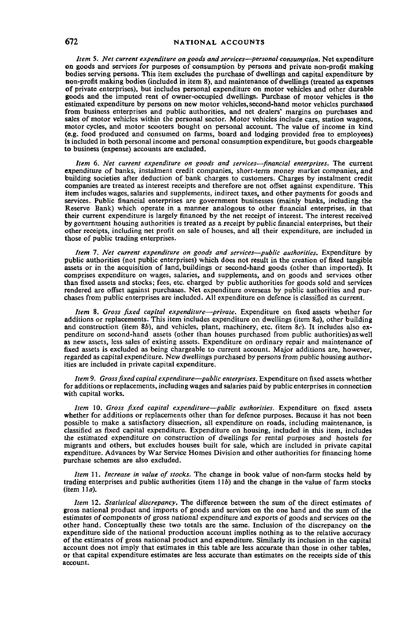*Item* 5. *Net current expenditure on goods and services*—*personal consumption.* Net expenditure on goods and services for purposes of consumption by persons and private non-profit making bodies serving persons. This item excludes the purchase of dwellings and capital expenditure by non-profit making bodies (included in item 8), and maintenance of dwellings (treated as expenses of private enterprises), but includes personal expenditure on motor vehicles and other durable goods and the imputed rent of owner-occupied dwellings. Purchase of motor vehicles is the estimated expenditure by persons on new motor vehicles, second-hand motor vehicles purchased from business enterprises and public authorities, and net dealers' margins on purchases and sales of motor vehicles within the personal sector. Motor vehicles include cars, station wagons, motor cycles, and motor scooters bought on personal account. The value of income in kind (e.g. food produced and consumed on farms, board and lodging provided free to employees) is included in both personal income and personal consumption expenditure, but goods chargeable to business (expense) accounts are excluded.

*Item* 6. *Net current expenditure on goods and services*—*financial enterprises.* The current expenditure of banks, instalment credit companies, short-term money market companies, and building societies after deduction of bank charges to customers. Charges by instalment credit companies are treated as interest receipts and therefore are not offset against expenditure. This item includes wages, salaries and supplements, indirect taxes, and other payments for goods and services. Public financial enterprises are government businesses (mainly banks, including the Reserve Bank) which operate in a manner analogous to other financial enterprises, in that their current expenditure is largely financed by the net receipt of interest. The interest received by government housing authorities is treated as a receipt by public financial enterprises, but their other receipts, including net profit on sale of houses, and all their expenditure, are included in those of public trading enterprises.

*Item* 7. *Net current expenditure on goods and services*—*public authorities.* Expenditure by public authorities (not public enterprises) which does not result in the creation of fixed tangible assets or in the acquisition of land, buildings or second-hand goods (other than imported). It comprises expenditure on wages, salaries, and supplements, and on goods and services other than fixed assets and stocks; fees, etc. charged by public authorities for goods sold and services rendered are offset against purchases. Net expenditure overseas by public authorities and purchases from public enterprises are included. All expenditure on defence is classified as current.

*Item* 8. *Gross fixed capital expenditure*—*private.* Expenditure on fixed assets whether for additions or replacements. This item includes expenditure on dwellings (item 8a), other building and construction (item 8b), and vehicles, plant, machinery, etc. (item 8c). It includes also expenditure on second-hand assets (other than houses purchased from public authorities) as well as new assets, less sales of existing assets. Expenditure on ordinary repair and maintenance of fixed assets is excluded as being chargeable to current account. Major additions are, however, regarded as capital expenditure. New dwellings purchased by persons from public housing authorities are included in private capital expenditure.

*Item* 9. *Gross fixed capital expenditure*—*public enterprises.* Expenditure on fixed assets whether for additions or replacements, including wages and salaries paid by public enterprises in connection with capital works.

*Item* 10. *Gross fixed capital expenditure*—*public authorities.* Expenditure on fixed assets whether for additions or replacements other than for defence purposes. Because it has not been possible to make a satisfactory dissection, all expenditure on roads, including maintenance, is classified as fixed capital expenditure. Expenditure on housing, included in this item, includes the estimated expenditure on construction of dwellings for rental purposes and hostels for migrants and others, but excludes houses built for sale, which are included in private capital expenditure. Advances by War Service Homes Division and other authorities for financing home purchase schemes are also excluded.

*Item \* 1. *Increase in value of stocks.* The change in book value of non-farm stocks held by trading enterprises and public authorities (item  $11\bar{b}$ ) and the change in the value of farm stocks  $(i$ tem  $11a)$ .

*Item* 12. *Statistical discrepancy.* The difference between the sum of the direct estimates of gross national product and imports of goods and services on the one hand and the sum of the estimates of components of gross national expenditure and exports of goods and services on the other hand. Conceptually these two totals are the same. Inclusion of the discrepancy on the expenditure side of the national production account implies nothing as to the relative accuracy of the estimates of gross national product and expenditure. Similarly its inclusion in the capital account does not imply that estimates in this table are less accurate than those in other tables, or that capital expenditure estimates are less accurate than estimates on the receipts side of this account.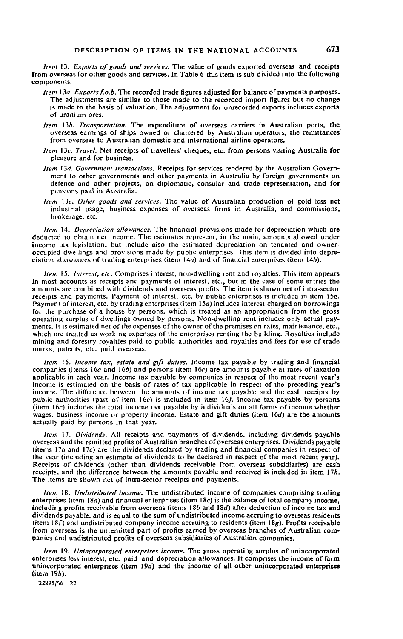*Item* 13. *Exports of goods and services.* The value of goods exported overseas and receipts from overseas for other goods and services. In Table 6 this item is sub-divided into the following components.

- *Item* 130. *Exports f.o.b.* The recorded trade figures adjusted for balance of payments purposes. The adjustments are similar to those made to the recorded import figures but no change is made to the basis of valuation. The adjustment for unrecorded exports includes exports of uranium ores.
- *Item* 136. *Transportation.* The expenditure of overseas carriers in Australian ports, the overseas earnings of ships owned or chartered by Australian operators, the remittances from overseas to Australian domestic and international airline operators.
- *Item* 13c. *Travel.* Net receipts of travellers' cheques, etc. from persons visiting Australia for pleasure and for business.
- *Item* 13d *Government transactions.* Receipts for services rendered by the Australian Government to other governments and other payments in Australia by foreign governments on defence and other projects, on diplomatic, consular and trade representation, and for pensions paid in Australia.
- *Item* 13?. *Other goods and services.* The value of Australian production of gold less net industrial usage, business expenses of overseas firms in Australia, and commissions, brokerage, etc.

*Item* 14. *Depreciation allowances.* The financial provisions made for depreciation which are deducted to obiain net income. The estimates represent, in the main, amounts allowed under income tax legislation, but include also the estimated depreciation on tenanted and owneroccupied dwellings and provisions made by public enterprises. This item is divided into depreciation allowances of trading enterprises (item 14a) and of financial enterprises (item 146).

*Item* 15. *Interest, etc.* Comprises interest, non-dwelling rent and royalties. This item appears in most accounts as receipts and payments of interest, etc., but in the case of some entries the amounts are combined with dividends and overseas profits. The item is shown net of intra-sector receipts and payments. Payment of interest, etc. by public enterprises is included in item *\5g.* Payment of interest, etc. by trading enterprises (item 15a) includes interest charged on borrowings for the purchase of a house by persons, which is treated as an appropriation from the gross operating surplus of dwellings owned by persons. Non-dwelling rent includes only actual payments. It is estimated net of the expenses of the owner of the premises on rates, maintenance, etc., which are treated as working expenses of the enterprises renting the building. Royalties include mining and forestry royalties paid to public authorities and royalties and fees for use of trade marks, patents, etc. paid overseas.

*Item* 16. *Income tax, estate and gift duties.* Income tax payable by trading and financial companies (items 16a and 16b) and persons (item 16c) are amounts payable at rates of taxation applicable in each year. Income tax payable by companies in respect of the most recent year's income is estimated on the basis of rates of tax applicable in respect of the preceding year's income. The difference between the amounts of income tax payable and the cash receipts by public authorities (part of item *\6e) is* included in item 16/. Income tax payable by persons (item 16c) includes the total income tax payable by individuals on all forms of income whether wages, business income or property income. Estate and gift duties (item *16d)* are the amounts actually paid by persons in that year.

*Item* 17. *Dividends.* All receipts and payments of dividends, including dividends payable overseas and the remitted profits of Australian branches of overseas enterprises. Dividends payable (items 17o and I7c) are the dividends declared by trading and financial companies in respect of the year (including an estimate of dividends to be declared in respect of the most recent year). Receipts of dividends (other than dividends receivable from overseas subsidiaries) are cash receipts, and the difference between the amounts payable and received is included in item 17A. The items are shown net of intra-sector receipts and payments.

*Item* 18. *Undistributed income.* The undistributed income of companies comprising trading enterprises (item I8a) and financial enterprises (item I8r) is the balance of total company income, including profits receivable from overseas (items  $18b$  and  $18d$ ) after deduction of income tax and dividends payable, and is equal to the sum of undistributed income accruing to overseas residents (item  $18f$ ) and undistributed company income accruing to residents (item  $18g$ ). Profits receivable from overseas is the unremitted part of profits earned by overseas branches of Australian companies and undistributed profits of overseas subsidiaries of Australian companies.

*Item* 19. *Unincorporated enterprises income.* The gross operating surplus of unincorporated enterprises less interest, etc. paid and depreciation allowances. It comprises the income of farm unincorporated enterprises (item 19a) and the income of all other unincorporated enterprises (item 196).

22895/66—22